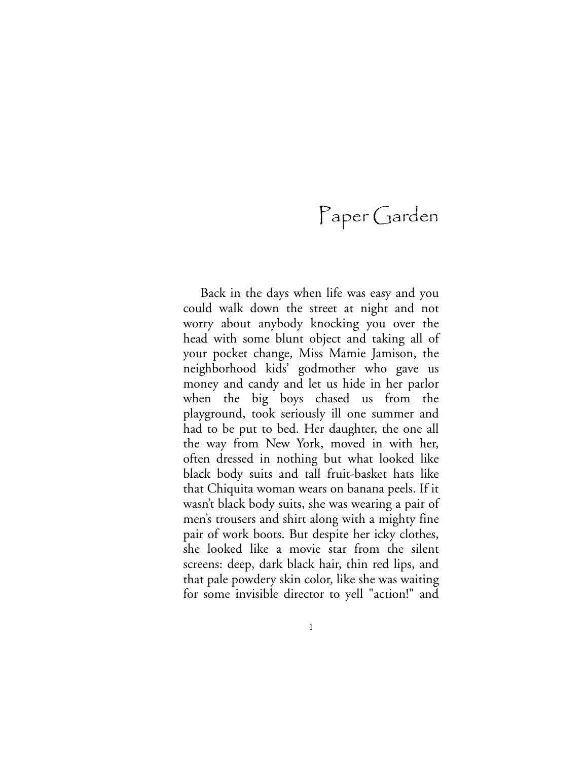Back in the days when life was easy and you could walk down the street at night and not worry about anybody knocking you over the head with some blunt object and taking all of your pocket change, Miss Mamie Jamison, the neighborhood kids' godmother who gave us money and candy and let us hide in her parlor when the big boys chased us from the playground, took seriously ill one summer and had to be put to bed. Her daughter, the one all the way from New York, moved in with her, often dressed in nothing but what looked like black body suits and tall fruit-basket hats like that Chiquita woman wears on banana peels. If it wasn't black body suits, she was wearing a pair of men's trousers and shirt along with a mighty fine pair of work boots. But despite her icky clothes, she looked like a movie star from the silent screens: deep, dark black hair, thin red lips, and that pale powdery skin color, like she was waiting for some invisible director to yell "action!" and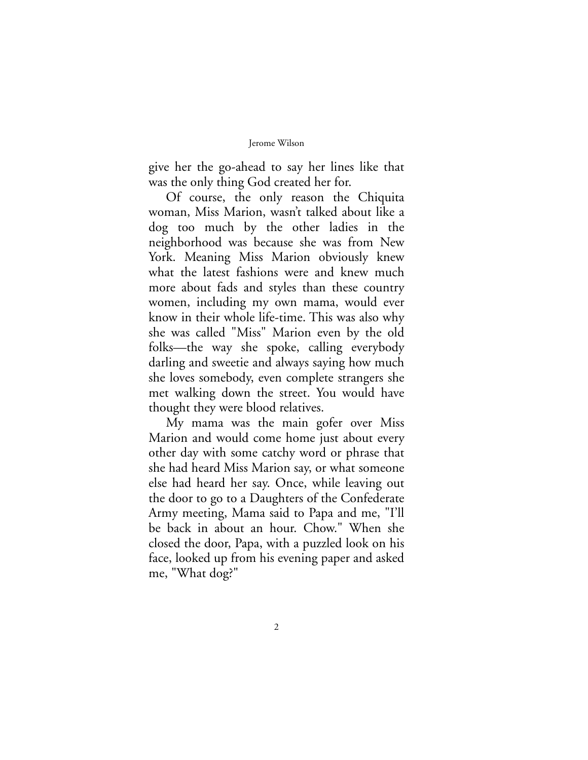give her the go-ahead to say her lines like that was the only thing God created her for.

Of course, the only reason the Chiquita woman, Miss Marion, wasn't talked about like a dog too much by the other ladies in the neighborhood was because she was from New York. Meaning Miss Marion obviously knew what the latest fashions were and knew much more about fads and styles than these country women, including my own mama, would ever know in their whole life-time. This was also why she was called "Miss" Marion even by the old folks—the way she spoke, calling everybody darling and sweetie and always saying how much she loves somebody, even complete strangers she met walking down the street. You would have thought they were blood relatives.

My mama was the main gofer over Miss Marion and would come home just about every other day with some catchy word or phrase that she had heard Miss Marion say, or what someone else had heard her say. Once, while leaving out the door to go to a Daughters of the Confederate Army meeting, Mama said to Papa and me, "I'll be back in about an hour. Chow." When she closed the door, Papa, with a puzzled look on his face, looked up from his evening paper and asked me, "What dog?"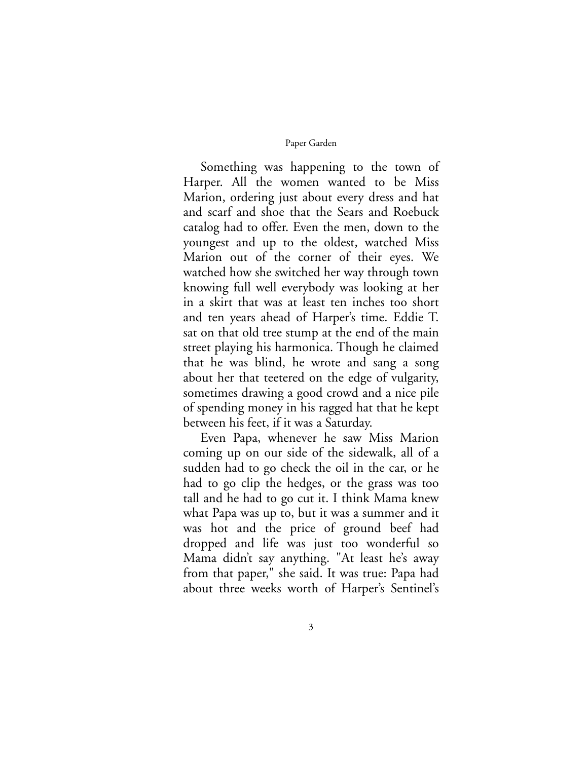Something was happening to the town of Harper. All the women wanted to be Miss Marion, ordering just about every dress and hat and scarf and shoe that the Sears and Roebuck catalog had to offer. Even the men, down to the youngest and up to the oldest, watched Miss Marion out of the corner of their eyes. We watched how she switched her way through town knowing full well everybody was looking at her in a skirt that was at least ten inches too short and ten years ahead of Harper's time. Eddie T. sat on that old tree stump at the end of the main street playing his harmonica. Though he claimed that he was blind, he wrote and sang a song about her that teetered on the edge of vulgarity, sometimes drawing a good crowd and a nice pile of spending money in his ragged hat that he kept between his feet, if it was a Saturday.

Even Papa, whenever he saw Miss Marion coming up on our side of the sidewalk, all of a sudden had to go check the oil in the car, or he had to go clip the hedges, or the grass was too tall and he had to go cut it. I think Mama knew what Papa was up to, but it was a summer and it was hot and the price of ground beef had dropped and life was just too wonderful so Mama didn't say anything. "At least he's away from that paper," she said. It was true: Papa had about three weeks worth of Harper's Sentinel's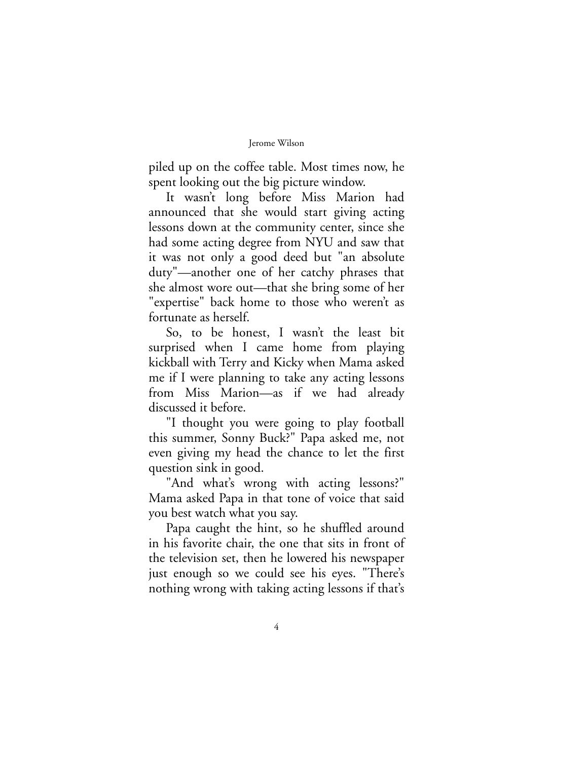piled up on the coffee table. Most times now, he spent looking out the big picture window.

It wasn't long before Miss Marion had announced that she would start giving acting lessons down at the community center, since she had some acting degree from NYU and saw that it was not only a good deed but "an absolute duty"—another one of her catchy phrases that she almost wore out—that she bring some of her "expertise" back home to those who weren't as fortunate as herself.

So, to be honest, I wasn't the least bit surprised when I came home from playing kickball with Terry and Kicky when Mama asked me if I were planning to take any acting lessons from Miss Marion—as if we had already discussed it before.

"I thought you were going to play football this summer, Sonny Buck?" Papa asked me, not even giving my head the chance to let the first question sink in good.

"And what's wrong with acting lessons?" Mama asked Papa in that tone of voice that said you best watch what you say.

Papa caught the hint, so he shuffled around in his favorite chair, the one that sits in front of the television set, then he lowered his newspaper just enough so we could see his eyes. "There's nothing wrong with taking acting lessons if that's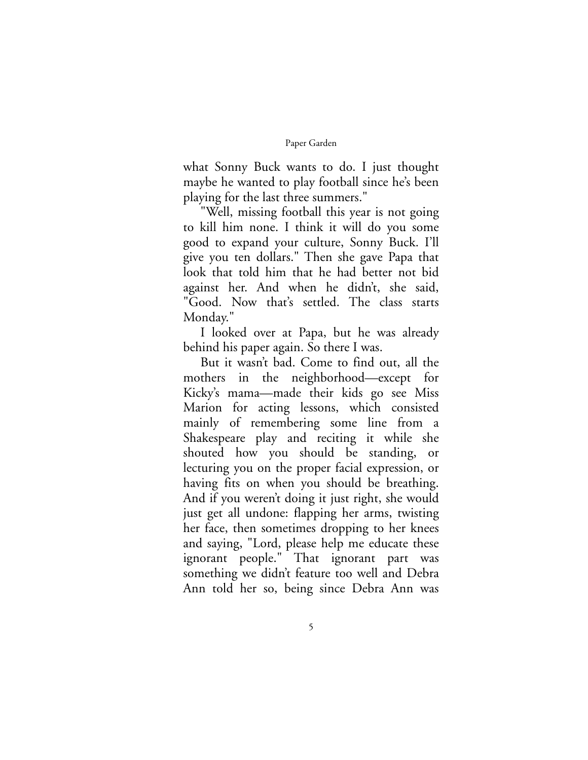what Sonny Buck wants to do. I just thought maybe he wanted to play football since he's been playing for the last three summers."

"Well, missing football this year is not going to kill him none. I think it will do you some good to expand your culture, Sonny Buck. I'll give you ten dollars." Then she gave Papa that look that told him that he had better not bid against her. And when he didn't, she said, "Good. Now that's settled. The class starts Monday."

I looked over at Papa, but he was already behind his paper again. So there I was.

But it wasn't bad. Come to find out, all the mothers in the neighborhood—except for Kicky's mama—made their kids go see Miss Marion for acting lessons, which consisted mainly of remembering some line from a Shakespeare play and reciting it while she shouted how you should be standing, or lecturing you on the proper facial expression, or having fits on when you should be breathing. And if you weren't doing it just right, she would just get all undone: flapping her arms, twisting her face, then sometimes dropping to her knees and saying, "Lord, please help me educate these ignorant people." That ignorant part was something we didn't feature too well and Debra Ann told her so, being since Debra Ann was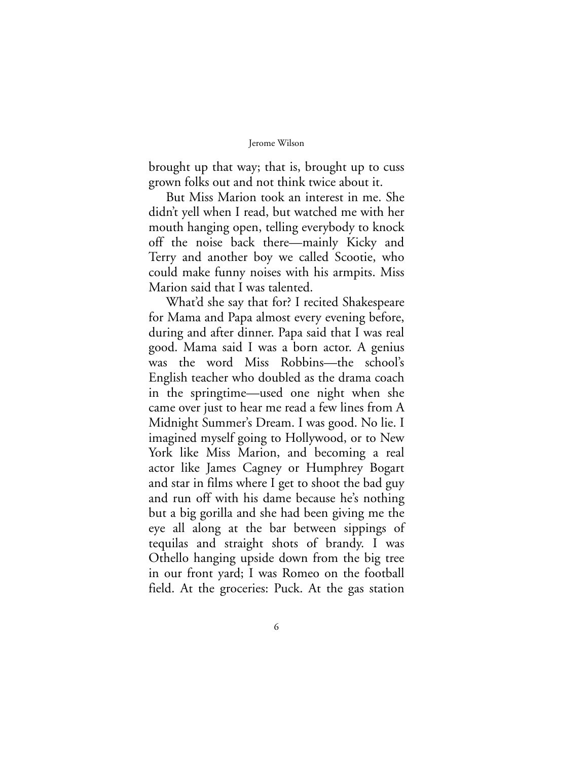brought up that way; that is, brought up to cuss grown folks out and not think twice about it.

But Miss Marion took an interest in me. She didn't yell when I read, but watched me with her mouth hanging open, telling everybody to knock off the noise back there—mainly Kicky and Terry and another boy we called Scootie, who could make funny noises with his armpits. Miss Marion said that I was talented.

What'd she say that for? I recited Shakespeare for Mama and Papa almost every evening before, during and after dinner. Papa said that I was real good. Mama said I was a born actor. A genius was the word Miss Robbins—the school's English teacher who doubled as the drama coach in the springtime—used one night when she came over just to hear me read a few lines from A Midnight Summer's Dream. I was good. No lie. I imagined myself going to Hollywood, or to New York like Miss Marion, and becoming a real actor like James Cagney or Humphrey Bogart and star in films where I get to shoot the bad guy and run off with his dame because he's nothing but a big gorilla and she had been giving me the eye all along at the bar between sippings of tequilas and straight shots of brandy. I was Othello hanging upside down from the big tree in our front yard; I was Romeo on the football field. At the groceries: Puck. At the gas station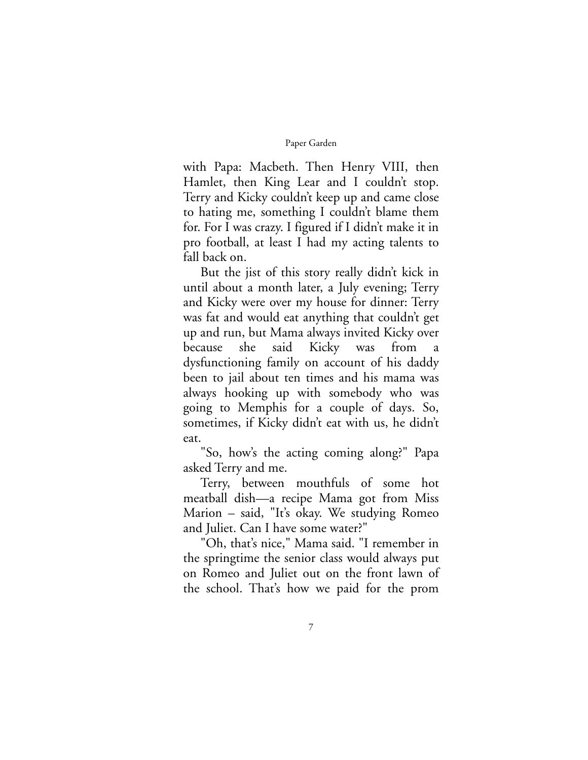with Papa: Macbeth. Then Henry VIII, then Hamlet, then King Lear and I couldn't stop. Terry and Kicky couldn't keep up and came close to hating me, something I couldn't blame them for. For I was crazy. I figured if I didn't make it in pro football, at least I had my acting talents to fall back on.

But the jist of this story really didn't kick in until about a month later, a July evening; Terry and Kicky were over my house for dinner: Terry was fat and would eat anything that couldn't get up and run, but Mama always invited Kicky over because she said Kicky was from a dysfunctioning family on account of his daddy been to jail about ten times and his mama was always hooking up with somebody who was going to Memphis for a couple of days. So, sometimes, if Kicky didn't eat with us, he didn't eat.

"So, how's the acting coming along?" Papa asked Terry and me.

Terry, between mouthfuls of some hot meatball dish—a recipe Mama got from Miss Marion – said, "It's okay. We studying Romeo and Juliet. Can I have some water?"

"Oh, that's nice," Mama said. "I remember in the springtime the senior class would always put on Romeo and Juliet out on the front lawn of the school. That's how we paid for the prom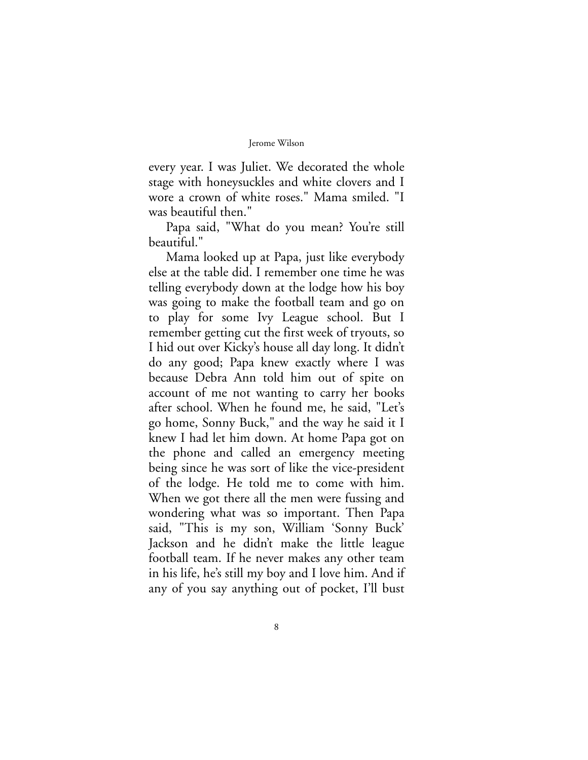every year. I was Juliet. We decorated the whole stage with honeysuckles and white clovers and I wore a crown of white roses." Mama smiled. "I was beautiful then."

Papa said, "What do you mean? You're still beautiful."

Mama looked up at Papa, just like everybody else at the table did. I remember one time he was telling everybody down at the lodge how his boy was going to make the football team and go on to play for some Ivy League school. But I remember getting cut the first week of tryouts, so I hid out over Kicky's house all day long. It didn't do any good; Papa knew exactly where I was because Debra Ann told him out of spite on account of me not wanting to carry her books after school. When he found me, he said, "Let's go home, Sonny Buck," and the way he said it I knew I had let him down. At home Papa got on the phone and called an emergency meeting being since he was sort of like the vice-president of the lodge. He told me to come with him. When we got there all the men were fussing and wondering what was so important. Then Papa said, "This is my son, William 'Sonny Buck' Jackson and he didn't make the little league football team. If he never makes any other team in his life, he's still my boy and I love him. And if any of you say anything out of pocket, I'll bust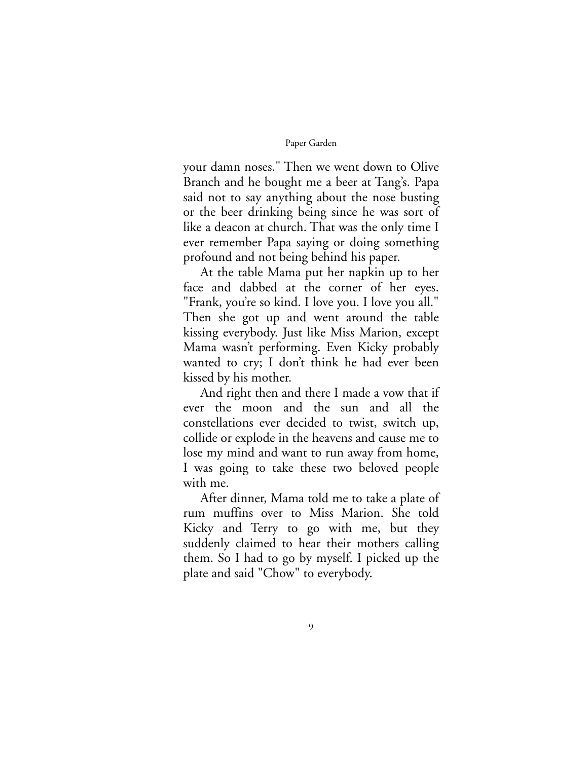your damn noses." Then we went down to Olive Branch and he bought me a beer at Tang's. Papa said not to say anything about the nose busting or the beer drinking being since he was sort of like a deacon at church. That was the only time I ever remember Papa saying or doing something profound and not being behind his paper.

At the table Mama put her napkin up to her face and dabbed at the corner of her eyes. "Frank, you're so kind. I love you. I love you all." Then she got up and went around the table kissing everybody. Just like Miss Marion, except Mama wasn't performing. Even Kicky probably wanted to cry; I don't think he had ever been kissed by his mother.

And right then and there I made a vow that if ever the moon and the sun and all the constellations ever decided to twist, switch up, collide or explode in the heavens and cause me to lose my mind and want to run away from home, I was going to take these two beloved people with me.

After dinner, Mama told me to take a plate of rum muffins over to Miss Marion. She told Kicky and Terry to go with me, but they suddenly claimed to hear their mothers calling them. So I had to go by myself. I picked up the plate and said "Chow" to everybody.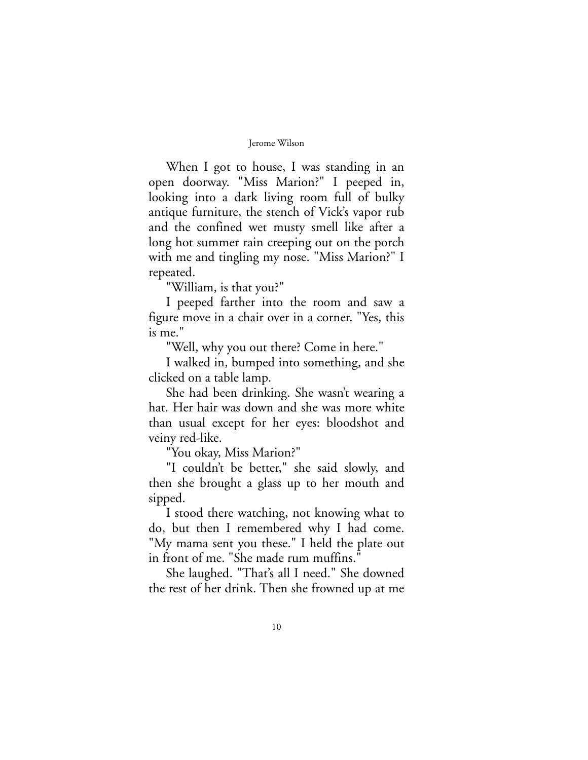When I got to house, I was standing in an open doorway. "Miss Marion?" I peeped in, looking into a dark living room full of bulky antique furniture, the stench of Vick's vapor rub and the confined wet musty smell like after a long hot summer rain creeping out on the porch with me and tingling my nose. "Miss Marion?" I repeated.

"William, is that you?"

I peeped farther into the room and saw a figure move in a chair over in a corner. "Yes, this is me."

"Well, why you out there? Come in here."

I walked in, bumped into something, and she clicked on a table lamp.

She had been drinking. She wasn't wearing a hat. Her hair was down and she was more white than usual except for her eyes: bloodshot and veiny red-like.

"You okay, Miss Marion?"

"I couldn't be better," she said slowly, and then she brought a glass up to her mouth and sipped.

I stood there watching, not knowing what to do, but then I remembered why I had come. "My mama sent you these." I held the plate out in front of me. "She made rum muffins."

She laughed. "That's all I need." She downed the rest of her drink. Then she frowned up at me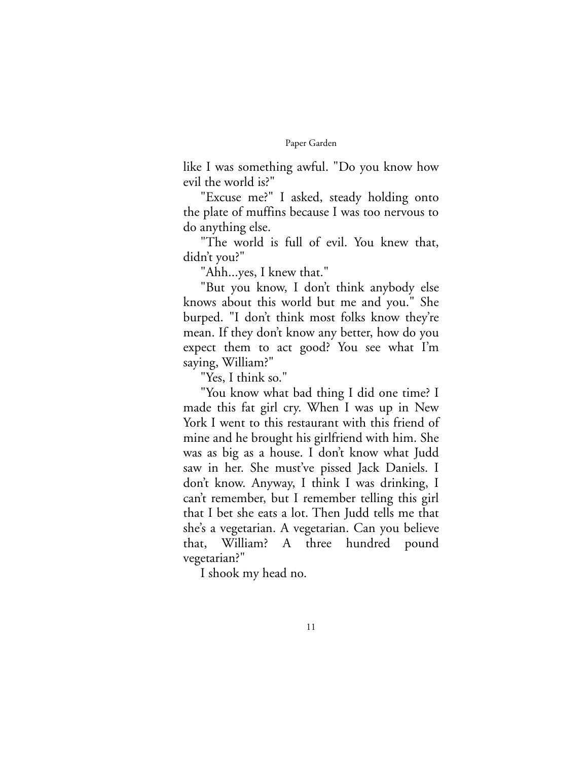like I was something awful. "Do you know how evil the world is?"

"Excuse me?" I asked, steady holding onto the plate of muffins because I was too nervous to do anything else.

"The world is full of evil. You knew that, didn't you?"

"Ahh...yes, I knew that."

"But you know, I don't think anybody else knows about this world but me and you." She burped. "I don't think most folks know they're mean. If they don't know any better, how do you expect them to act good? You see what I'm saying, William?"

"Yes, I think so."

"You know what bad thing I did one time? I made this fat girl cry. When I was up in New York I went to this restaurant with this friend of mine and he brought his girlfriend with him. She was as big as a house. I don't know what Judd saw in her. She must've pissed Jack Daniels. I don't know. Anyway, I think I was drinking, I can't remember, but I remember telling this girl that I bet she eats a lot. Then Judd tells me that she's a vegetarian. A vegetarian. Can you believe that, William? A three hundred pound vegetarian?"

I shook my head no.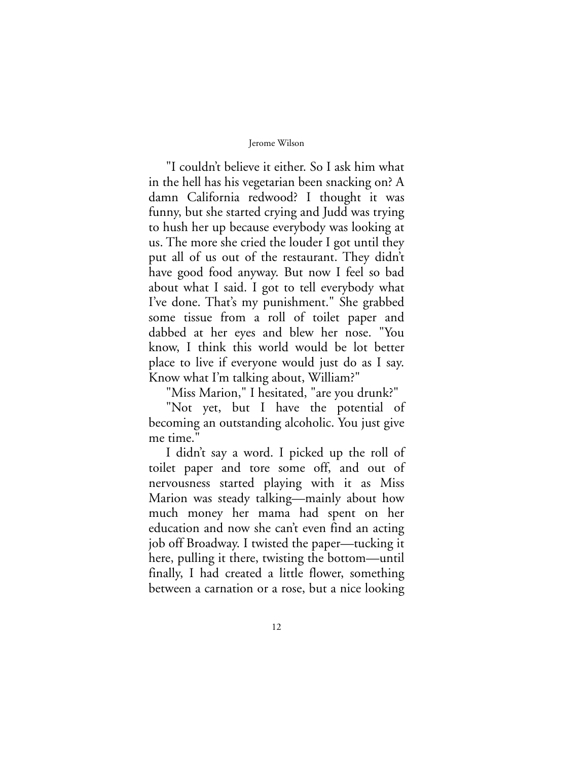"I couldn't believe it either. So I ask him what in the hell has his vegetarian been snacking on? A damn California redwood? I thought it was funny, but she started crying and Judd was trying to hush her up because everybody was looking at us. The more she cried the louder I got until they put all of us out of the restaurant. They didn't have good food anyway. But now I feel so bad about what I said. I got to tell everybody what I've done. That's my punishment." She grabbed some tissue from a roll of toilet paper and dabbed at her eyes and blew her nose. "You know, I think this world would be lot better place to live if everyone would just do as I say. Know what I'm talking about, William?"

"Miss Marion," I hesitated, "are you drunk?"

"Not yet, but I have the potential of becoming an outstanding alcoholic. You just give me time."

I didn't say a word. I picked up the roll of toilet paper and tore some off, and out of nervousness started playing with it as Miss Marion was steady talking—mainly about how much money her mama had spent on her education and now she can't even find an acting job off Broadway. I twisted the paper—tucking it here, pulling it there, twisting the bottom—until finally, I had created a little flower, something between a carnation or a rose, but a nice looking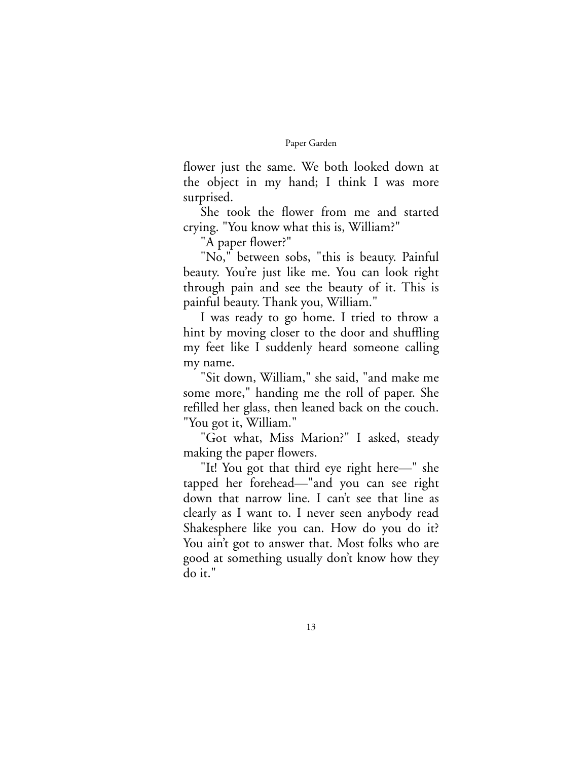flower just the same. We both looked down at the object in my hand; I think I was more surprised.

She took the flower from me and started crying. "You know what this is, William?"

"A paper flower?"

"No," between sobs, "this is beauty. Painful beauty. You're just like me. You can look right through pain and see the beauty of it. This is painful beauty. Thank you, William."

I was ready to go home. I tried to throw a hint by moving closer to the door and shuffling my feet like I suddenly heard someone calling my name.

"Sit down, William," she said, "and make me some more," handing me the roll of paper. She refilled her glass, then leaned back on the couch. "You got it, William."

"Got what, Miss Marion?" I asked, steady making the paper flowers.

"It! You got that third eye right here—" she tapped her forehead—"and you can see right down that narrow line. I can't see that line as clearly as I want to. I never seen anybody read Shakesphere like you can. How do you do it? You ain't got to answer that. Most folks who are good at something usually don't know how they do it."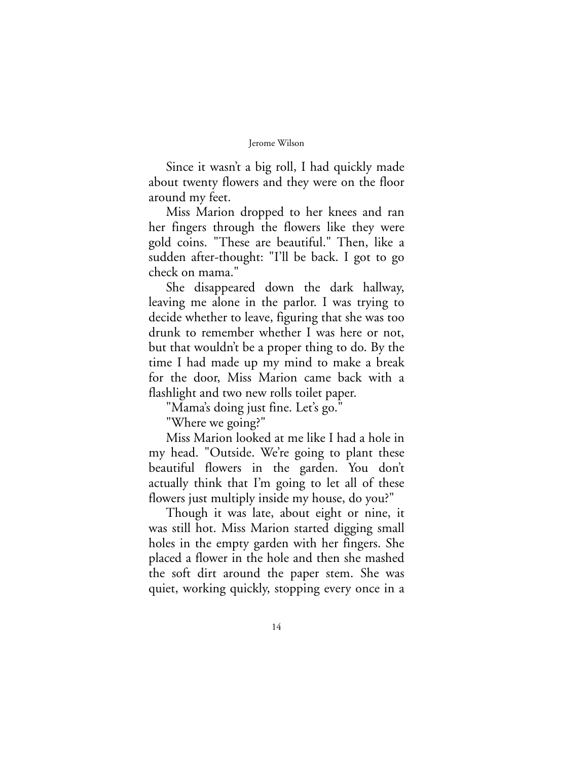Since it wasn't a big roll, I had quickly made about twenty flowers and they were on the floor around my feet.

Miss Marion dropped to her knees and ran her fingers through the flowers like they were gold coins. "These are beautiful." Then, like a sudden after-thought: "I'll be back. I got to go check on mama."

She disappeared down the dark hallway, leaving me alone in the parlor. I was trying to decide whether to leave, figuring that she was too drunk to remember whether I was here or not, but that wouldn't be a proper thing to do. By the time I had made up my mind to make a break for the door, Miss Marion came back with a flashlight and two new rolls toilet paper.

"Mama's doing just fine. Let's go."

"Where we going?"

Miss Marion looked at me like I had a hole in my head. "Outside. We're going to plant these beautiful flowers in the garden. You don't actually think that I'm going to let all of these flowers just multiply inside my house, do you?"

Though it was late, about eight or nine, it was still hot. Miss Marion started digging small holes in the empty garden with her fingers. She placed a flower in the hole and then she mashed the soft dirt around the paper stem. She was quiet, working quickly, stopping every once in a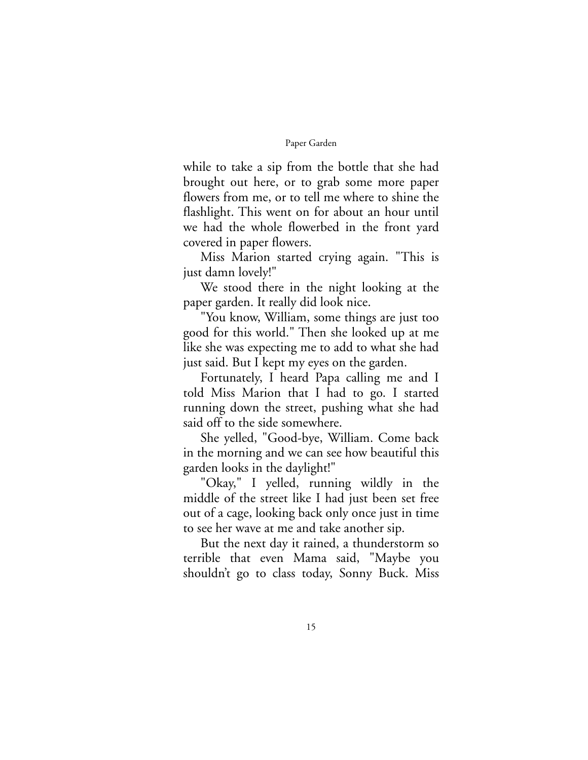while to take a sip from the bottle that she had brought out here, or to grab some more paper flowers from me, or to tell me where to shine the flashlight. This went on for about an hour until we had the whole flowerbed in the front yard covered in paper flowers.

Miss Marion started crying again. "This is just damn lovely!"

We stood there in the night looking at the paper garden. It really did look nice.

"You know, William, some things are just too good for this world." Then she looked up at me like she was expecting me to add to what she had just said. But I kept my eyes on the garden.

Fortunately, I heard Papa calling me and I told Miss Marion that I had to go. I started running down the street, pushing what she had said off to the side somewhere.

She yelled, "Good-bye, William. Come back in the morning and we can see how beautiful this garden looks in the daylight!"

"Okay," I yelled, running wildly in the middle of the street like I had just been set free out of a cage, looking back only once just in time to see her wave at me and take another sip.

But the next day it rained, a thunderstorm so terrible that even Mama said, "Maybe you shouldn't go to class today, Sonny Buck. Miss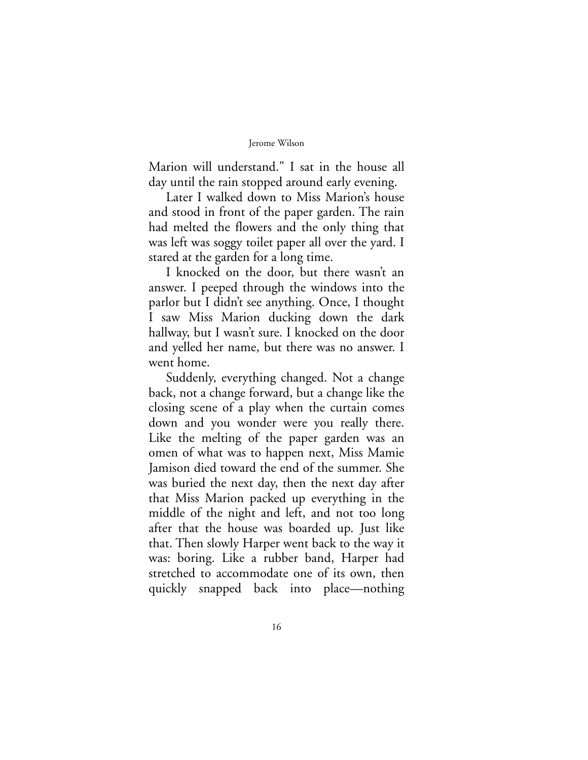Marion will understand." I sat in the house all day until the rain stopped around early evening.

Later I walked down to Miss Marion's house and stood in front of the paper garden. The rain had melted the flowers and the only thing that was left was soggy toilet paper all over the yard. I stared at the garden for a long time.

I knocked on the door, but there wasn't an answer. I peeped through the windows into the parlor but I didn't see anything. Once, I thought I saw Miss Marion ducking down the dark hallway, but I wasn't sure. I knocked on the door and yelled her name, but there was no answer. I went home.

Suddenly, everything changed. Not a change back, not a change forward, but a change like the closing scene of a play when the curtain comes down and you wonder were you really there. Like the melting of the paper garden was an omen of what was to happen next, Miss Mamie Jamison died toward the end of the summer. She was buried the next day, then the next day after that Miss Marion packed up everything in the middle of the night and left, and not too long after that the house was boarded up. Just like that. Then slowly Harper went back to the way it was: boring. Like a rubber band, Harper had stretched to accommodate one of its own, then quickly snapped back into place—nothing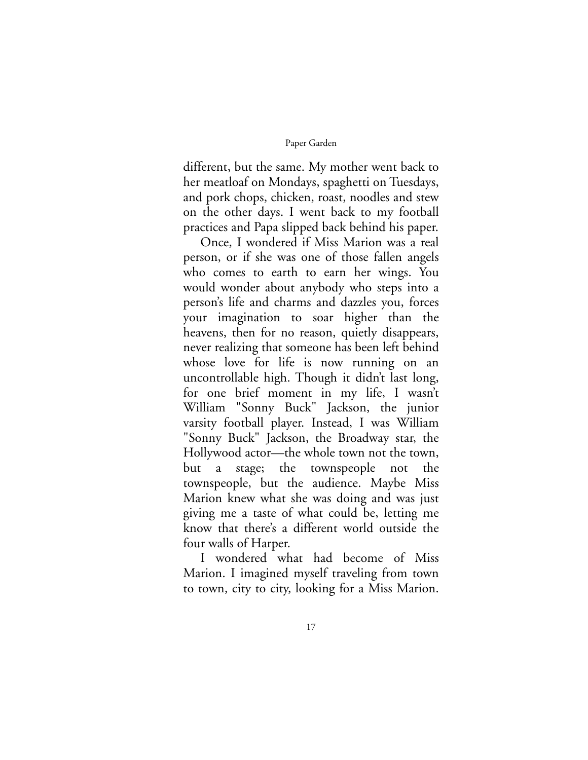different, but the same. My mother went back to her meatloaf on Mondays, spaghetti on Tuesdays, and pork chops, chicken, roast, noodles and stew on the other days. I went back to my football practices and Papa slipped back behind his paper.

Once, I wondered if Miss Marion was a real person, or if she was one of those fallen angels who comes to earth to earn her wings. You would wonder about anybody who steps into a person's life and charms and dazzles you, forces your imagination to soar higher than the heavens, then for no reason, quietly disappears, never realizing that someone has been left behind whose love for life is now running on an uncontrollable high. Though it didn't last long, for one brief moment in my life, I wasn't William "Sonny Buck" Jackson, the junior varsity football player. Instead, I was William "Sonny Buck" Jackson, the Broadway star, the Hollywood actor—the whole town not the town, but a stage; the townspeople not the townspeople, but the audience. Maybe Miss Marion knew what she was doing and was just giving me a taste of what could be, letting me know that there's a different world outside the four walls of Harper.

I wondered what had become of Miss Marion. I imagined myself traveling from town to town, city to city, looking for a Miss Marion.